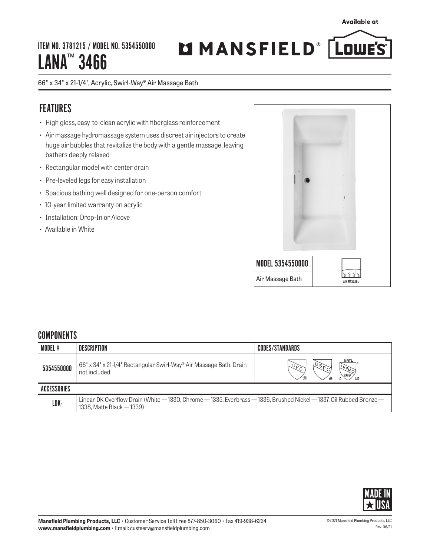ITEM NO. 3781215 / MODEL NO. 5354550000 LANA<sup>™</sup> 3466

# MMANSFIELD® LOWE'S

66" x 34" x 21-1/4", Acrylic, Swirl-Way® Air Massage Bath

## **FEATURES**

- High gloss, easy-to-clean acrylic with fiberglass reinforcement
- Air massage hydromassage system uses discreet air injectors to create huge air bubbles that revitalize the body with a gentle massage, leaving bathers deeply relaxed
- Rectangular model with center drain
- Pre-leveled legs for easy installation
- Spacious bathing well designed for one-person comfort
- 10-year limited warranty on acrylic
- Installation: Drop-In or Alcove
- Available in White



### **COMPONENTS**

| MODEL #     | DESCRIPTION                                                                                                                                      | <b>CODES/STANDARDS</b> |
|-------------|--------------------------------------------------------------------------------------------------------------------------------------------------|------------------------|
| 5354550000  | 66' x 34' x 21-1/4' Rectangular Swirl-Way® Air Massage Bath. Drain<br>not included.                                                              | <b>NRTL</b><br>(R)     |
| ACCESSORIES |                                                                                                                                                  |                        |
| LDK-        | Linear DK Overflow Drain (White - 1330, Chrome - 1335, Everbrass - 1336, Brushed Nickel - 1337, Oil Rubbed Bronze -<br>1338. Matte Black - 1339) |                        |